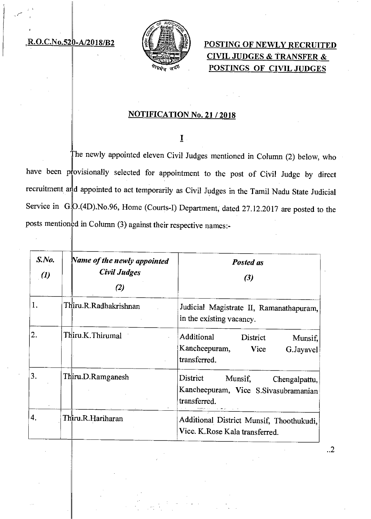### $R.O.C.No.520-A/2018/B2$



# POSTING OF NEWLY RECRUITED CIVIL JUDGES & TRANSFER & POSTINGS OF CIVIL JUDGES

### NOTIFICATION No. 21 / 2018

### I.

The newly appointed eleven Civil Judges mentioned in Column (2) below, who have been provisionally selected for appointment to the post of Civil Judge by direct recruitment and appointed to act temporarily as Civil Judges in the Tamil Nadu State Judicial Service in G.O.(4D).No.96, Home (Courts-I) Department, dated 27.12.2017 are posted to the posts mentioned in Column (3) against their respective names:-

| S. No.<br>$\boldsymbol{v}(l)$ | Name of the newly appointed<br>Civil Judges<br>(2) | Posted as<br>(3)                                                                               |
|-------------------------------|----------------------------------------------------|------------------------------------------------------------------------------------------------|
| 1.                            | Thiru.R.Radhakrishnan                              | Judicial Magistrate II, Ramanathapuram,<br>in the existing vacancy.                            |
| 2.                            | Thiru K. Thirumal                                  | Additional<br>District<br>Munsif,<br>Kancheepuram,<br><b>Vice</b><br>G.Jayavel<br>transferred. |
| 3.                            | Thiru.D.Ramganesh                                  | District<br>Munsif,<br>Chengalpattu,<br>Kancheepuram, Vice S.Sivasubramanian<br>transferred.   |
| 4.                            | Thiru.R.Hariharan                                  | Additional District Munsif, Thoothukudi,<br>Vice. K. Rose Kala transferred.                    |

..2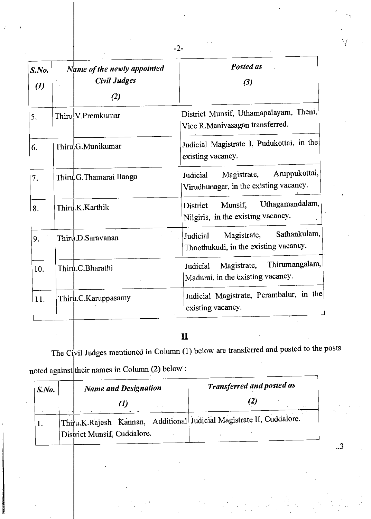| S. No.<br>$\left( l\right)$ | Name of the newly appointed<br><b>Civil Judges</b><br>$\left( 2\right)$ | Posted as<br>(3)                                                                   |
|-----------------------------|-------------------------------------------------------------------------|------------------------------------------------------------------------------------|
| 5.                          | Thiru!V.Premkumar                                                       | District Munsif, Uthamapalayam, Theni,<br>Vice R.Manivasagan transferred.          |
| 6.                          | Thiru G. Munikumar                                                      | Judicial Magistrate I, Pudukottai, in the<br>existing vacancy.                     |
| 7.                          | Thiru G. Thamarai Ilango                                                | Aruppukottai,<br>Magistrate,<br>Judicial<br>Virudhunagar, in the existing vacancy. |
| 8.                          | Thiru.K.Karthik                                                         | Uthagamandalam,<br>Munsif,<br>District<br>Nilgiris, in the existing vacancy.       |
| 9.                          | Third D.Saravanan                                                       | Sathankulam,<br>Magistrate,<br>Judicial<br>Thoothukudi, in the existing vacancy.   |
| 10.                         | Thiru.C.Bharathi                                                        | Thirumangalam,<br>Magistrate,<br>Judicial<br>Madurai, in the existing vacancy.     |
| 11.                         | Thiru.C.Karuppasamy                                                     | Judicial Magistrate, Perambalur, in the<br>existing vacancy.                       |

-2-

# **II**

The Civil Judges mentioned in Column  $(1)$  below are transferred and posted to the posts noted against their names in Column (2) below:

| S. No. | <b>Name and Designation</b>                                          | <b>Transferred and posted as</b> |
|--------|----------------------------------------------------------------------|----------------------------------|
|        |                                                                      |                                  |
|        | Thiru.K.Rajesh Kannan, Additional Judicial Magistrate II, Cuddalore. |                                  |
|        | District Munsif, Cuddalore.                                          |                                  |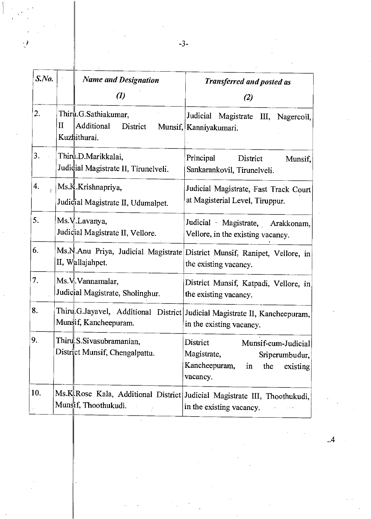| $S$ .No.                  |              | <b>Name and Designation</b>                                    | Transferred and posted as                                                                                              |
|---------------------------|--------------|----------------------------------------------------------------|------------------------------------------------------------------------------------------------------------------------|
|                           |              | $\left( l\right)$                                              | (2)                                                                                                                    |
| 2.                        | $\mathbf{I}$ | Thiru.G.Sathiakumar,<br>Additional<br>District<br>Kuzhithurai. | Judicial<br>Magistrate III, Nagercoil,<br>Munsif, Kanniyakumari.                                                       |
| 3.                        |              | Thiru.D.Marikkalai,<br>Judicial Magistrate II, Tirunelveli.    | Principal<br>District<br>Munsif.<br>Sankarankovil, Tirunelveli.                                                        |
| 4.                        |              | Ms.K.Krishnapriya,<br>Judicial Magistrate II, Udumalpet.       | Judicial Magistrate, Fast Track Court<br>at Magisterial Level, Tiruppur.                                               |
| 5.                        |              | Ms.V.Lavanya,<br>Judicial Magistrate II, Vellore.              | Judicial Magistrate, Arakkonam,<br>Vellore, in the existing vacancy.                                                   |
| 6.                        |              | II, Wallajahpet.                                               | Ms.N.Anu Priya, Judicial Magistrate District Munsif, Ranipet, Vellore, in<br>the existing vacancy.                     |
| 7.                        |              | Ms.V.Vannamalar,<br>Judicial Magistrate, Sholinghur.           | District Munsif, Katpadi, Vellore, in<br>the existing vacancy.                                                         |
| 8.                        |              | Munsif, Kancheepuram.                                          | Thiru.G.Jayavel, Additional District Judicial Magistrate II, Kancheepuram,<br>in the existing vacancy.                 |
| 9.                        |              | Thiru.S.Sivasubramanian,<br>District Munsif, Chengalpattu.     | District<br>Munsif-cum-Judicial<br>Magistrate,<br>Sriperumbudur,<br>Kancheepuram,<br>in<br>the<br>existing<br>vacancy. |
| 10.<br>$\mathbf{r}^{(1)}$ |              | Munsif, Thoothukudi.                                           | Ms.K Rose Kala, Additional District Judicial Magistrate III, Thoothukudi,<br>in the existing vacancy.                  |

..4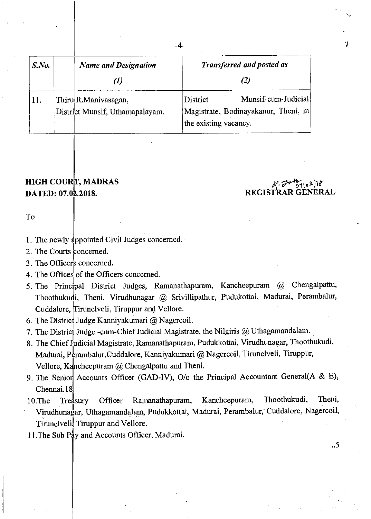| $S$ .No. |  | <b>Name and Designation</b>     | <b>Transferred and posted as</b>                              |
|----------|--|---------------------------------|---------------------------------------------------------------|
|          |  |                                 |                                                               |
| 11.      |  | Thiru R.Manivasagan,            | Munsif-cum-Judicial<br>District                               |
|          |  | District Munsif, Uthamapalayam. | Magistrate, Bodinayakanur, Theni, in<br>the existing vacancy. |

## **HIGH COURT, MADRAS DATED: 07.02.2018.** REGISTRAR GENERAL

# $7102)18$

M

..5

To

1. The newly appointed Civil Judges concerned.

- 2. The Courts concerned.
- 3. The Officers concerned.
- 4. The Offices of the Officers concerned.
- 5. The Principal District Judges, Ramanathapuram, Kancheepuram @ Chengalpattu, Thoothukudi, Theni, Virudhunagar @ Srivillipathur, Pudukottai, Madurai, Perambalur, Cuddalore, Tirunelveli, Tiruppur and Vellore.
- 6. The District Judge Kanniyakumari  $\omega$  Nagercoil.
- 7. The District Judge -cum-Chief Judicial Magistrate, the Nilgiris  $@$  Uthagamandalam.
- 8. The Chief Judicial Magistrate, Ramanathapuram, Pudukkottai, Virudhunagar, Thoothukudi, Madurai, Perambalur,Cuddalore, Kanniyakumari @ Nagercoil, Tirunelveli, Tiruppur, Vellore, Kancheepuram @ Chengalpattu and Theni.
- 9. The Senior Accounts Officer (GAD-IV),  $O/O$  the Principal Accountant General(A & E), Chennai.18
- 10.The Treasury Virudhunagar, Uthagamandalam, Pudukkottai, Madurai, Perambalur, Cuddalore, Nagercoil, Officer Ramanathapuram, Kancheepuram, Thoothukudi, Theni, Tirunelveli, Tiruppur and Vellore.

11.The Sub PAy and Accounts Officer, Madurai.

-4-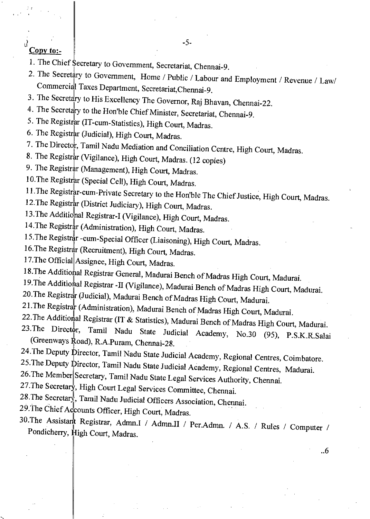### Copy to:-

- 1. The Chief Secretary to Government, Secretariat, Chennai-9.
- 2. The Secretary to Government, Home / Public / Labour and Employment / Revenue / Law/ Commercial Taxes Department, Secretariat,Chennai-9.
- 3. The Secretary to His Excellency The Governor, Raj Bhavan, Chennai-22.
- 4. The Secretary to the Hon'ble Chief Minister, Secretariat, Chennai-9.
- 5. The Registrar (IT-cum-Statistics), High Court, Madras.
- 6. The Registrar (Judicial), High Court, Madras.
- 7. The Director, Tamil Nadu Mediation and Conciliation Centre, High Court, Madras.
- 8. The Registrar (Vigilance), High Court, Madras. (12 copies)
- 9. The Registrar (Management), High Court, Madras.
- 10. The Registrar (Special Cell), High Court, Madras.
- 11. The Registrar-cum-Private Secretary to the Hon'ble The Chief Justice, High Court, Madras.
- 12. The Registrar (District Judiciary), High Court, Madras.
- 13.The Additional Registrar-I (Vigilance), High Court, Madras.
- 14. The Registrar (Administration), High Court, Madras.
- 15. The Registrar -cum-Special Officer (Liaisoning), High Court, Madras.
- 16. The Registrar (Recruitment), High Court, Madras.
- 17.The Official Assignee, High Court, Madras.
- 18.The Additional Registrar General, Madurai Bench of Madras High Court, Madurai.
- 19. The Additional Registrar -II (Vigilance), Madurai Bench of Madras High Court, Madurai.
- 20.The Registrar (Judicial), Madurai Bench of Madras High Court, Madurai.
- 21. The Registrar (Administration), Madurai Bench of Madras High Court, Madurai.
- 22. The Additional Registrar (IT & Statistics), Madurai Bench of Madras High Court, Madurai.
- 23.The Director, Tamil Nadu State Judicial Academy, No.30 (95), P.S.K.R.Salai (Greenways  $\frac{R}{2}$ oad), R.A.Puram, Chennai-28.
- 24. The Deputy  $\psi$  pirector, Tamil Nadu State Judicial Academy, Regional Centres, Coimbatore.
- 25.The Deputy Director, Tamil Nadu State Judicial Academy, Regional Centres, Madurai.
- 26.The Member Secretary, Tamil Nadu State Legal Services Authority, Chennai.
- 27.The Secretary, High Court Legal Services Committee, Chennai.
- 28.The Secretary, Tamil Nadu Judicial Officers Association, Chennai.
- 29. The Chief Accounts Officer, High Court, Madras.
- 30.The Assistant Registrar, Admn.I / Admn.II / Per.Admn. / A.S. / Rules / Computer / Pondicherry, High Court, Madras.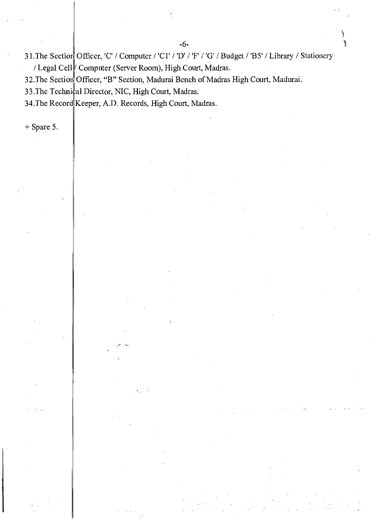31. The Section Officer, 'C' / Computer / 'Cl' / 'D' / 'F' / 'G' / Budget / 'B5' / Library / Stationery / Legal Cell Computer (Server Room), High Court, Madras.

32. The Section Officer, "B" Section, Madurai Bench of Madras High Court, Madurai.

33.The Technical Director, NIC, High Court, Madras.

34.The Record Keeper, A.D. Records, High Court, Madras.

+ Spare 5.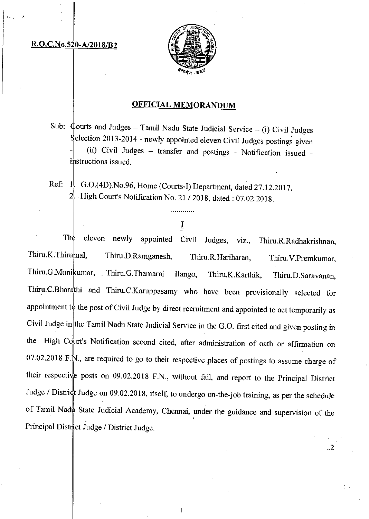#### R.O.C.No.520-A/2018/B2



### OFFICIAL MEMORANDUM

Sub:  $\phi$ ourts and Judges - Tamil Nadu State Judicial Service - (i) Civil Judges Selection 2013-2014 - newly appointed eleven Civil Judges postings given - (ii) Civil Judges — transfer and postings - Notification issued instructions issued.

Ref:  $\|\cdot\|_1$  G.O.(4D). No.96, Home (Courts-I) Department, dated 27.12.2017. High Court's Notification No. 21 / 2018, dated: 07.02.2018.

## I

eleven newly appointed Civil Judges, viz., Thiru.R.Radhakrishnan, Thiru.K.Thirumal, Thiru.D.Ramganesh, Thiru.R.Hariharan, Thiru.V.Premkumar, Thiru.G.Munikumar, . Thiru.G.Thamarai Ilango, Thiru.K.Karthik, Thiru.D.Saravanan, Thiru.C.Bharathi and Thiru.C.Karuppasamy who have been provisionally selected for appointment to the post of Civil Judge by direct recruitment and appointed to act temporarily as Civil Judge in the Tamil Nadu State Judicial Service in the G.O. first cited and given posting in the High Court's Notification second cited, after administration of oath or affirmation on 07.02.2018 F.N., are required to go to their respective places of postings to assume charge of their respective posts on 09.02.2018 F.N., without fail, and report to the Principal District Judge / District Judge on 09.02.2018, itself, to undergo on-the-job training, as per the schedule of Tamil Nadu State Judicial Academy, Chennai, under the guidance and supervision of the Principal District Judge / District Judge. Th

..2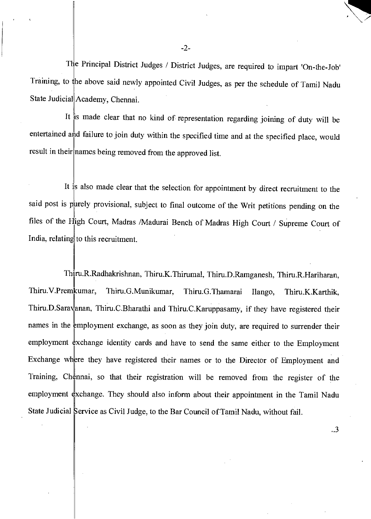The Principal District Judges / District Judges, are required to impart 'On-the-Job' Training, to the above said newly appointed Civil Judges, as per the schedule of Tamil Nadu State Judicial Academy, Chennai.

It is made clear that no kind of representation regarding joining of duty will be entertained and failure to join duty within the specified time and at the specified place, would result in their names being removed from the approved list.

It is also made clear that the selection for appointment by direct recruitment to the said post is purely provisional, subject to final outcome of the Writ petitions pending on the files of the High Court, Madras /Madurai Bench of Madras High Court / Supreme Court of India, relating to this recruitment.

Thiru.R.Radhakrishnan, Thiru.K.Thirumal, Thiru.D.Ramganesh, Thiru.R.Hariharan, Thiru.V.Premkumar, Thiru.G.Munikumar, Thiru.G.Thamarai Ilango, Thiru.K.Karthik, Thiru.D.Saravanan, Thiru.C.Bharathi and Thiru.C.Karuppasamy, if they have registered their names in the employment exchange, as soon as they join duty, are required to surrender their employment exchange identity cards and have to send the same either to the Employment Exchange where they have registered their names or to the Director of Employment and Training, Chennai, so that their registration will be removed from the register of the employment exchange. They should also inform about their appointment in the Tamil Nadu State Judicial Service as Civil Judge, to the Bar Council of Tamil Nadu, without fail.

..3

-2-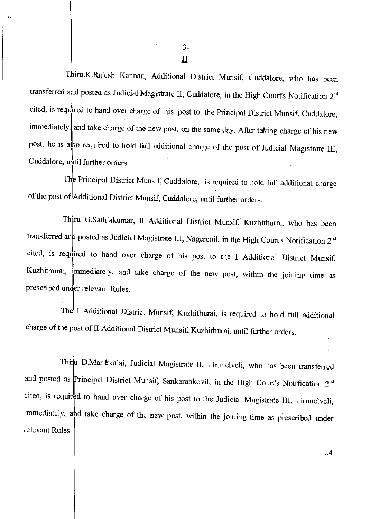Thiru.K.Rajesh Kannan, Additional District Munsif, Cuddalore, who has been transferred and posted as Judicial Magistrate II, Cuddalore, in the High Court's Notification  $2^{nd}$ cited, is required to hand over charge of his post to the Principal District Munsif, Cuddalore, immediately, and take charge of the new post, on the same day. After taking charge of his new post, he is also required to hold full additional charge of the post of Judicial Magistrate III, Cuddalore, until further orders.

The Principal District Munsif, Cuddalore, is required to hold full additional charge of the post of Additional District Munsif, Cuddalore, until further orders.

Thiru G.Sathiakumar, II Additional District Munsif, Kuzhithurai, who has been transferred and posted as Judicial Magistrate III, Nagercoil, in the High Court's Notification 2<sup>nd</sup> cited, is required to hand over charge of his post to the I Additional District Munsif, Kuzhithurai, immediately, and take charge of the new post, within the joining time as prescribed under relevant Rules.

The I Additional District Munsif, Kuzhithurai, is required to hold full additional charge of the post of II Additional District Munsif, Kuzhithurai, until further orders.

Thiru D.Marikkalai, Judicial Magistrate II, Tirunelveli, who has been transferred and posted as Principal District Munsif, Sankarankovil, in the High Court's Notification  $2^{nd}$ cited, is required to hand over charge of his post to the Judicial Magistrate III, Tirunelveli, immediately, and take charge of the new post, within the joining time as prescribed under relevant Rules.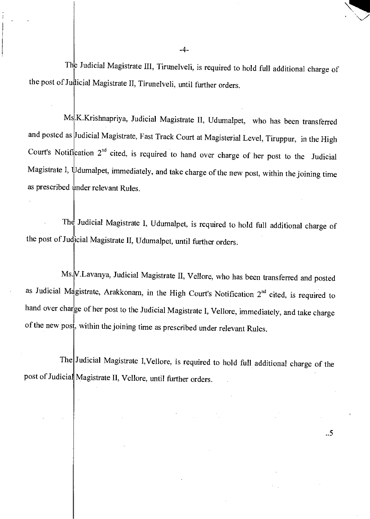The Judicial Magistrate III, Tirunelveli, is required to hold full additional charge of the post of Judicial Magistrate II, Tirunelveli, until further orders.

Ms.K.Krishnapriya, Judicial Magistrate II, Udumalpet, who has been transferred and posted as Judicial Magistrate, Fast Track Court at Magisterial Level, Tiruppur, in the High Court's Notification  $2^{nd}$  cited, is required to hand over charge of her post to the Judicial Magistrate I,  $\psi$  dumalpet, immediately, and take charge of the new post, within the joining time as prescribed under relevant Rules.

The Judicial Magistrate I, Udumalpet, is required to hold full additional charge of the post of Judicial Magistrate II, Udumalpet, until further orders.

Ms. V.Lavanya, Judicial Magistrate II, Vellore, who has been transferred and posted as Judicial Magistrate, Arakkonam, in the High Court's Notification  $2^{nd}$  cited, is required to hand over charge of her post to the Judicial Magistrate I, Vellore, immediately, and take charge of the new post, within the joining time as prescribed under relevant Rules.

The Judicial Magistrate I, Vellore, is required to hold full additional charge of the post of Judicial Magistrate II, Vellore, until further orders.

..5

 $-4-$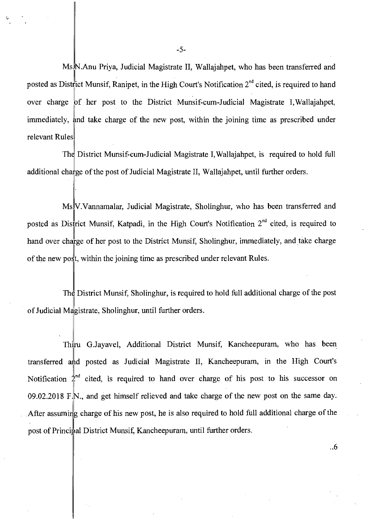Ms.<sup>I</sup>N.Anu Priya, Judicial Magistrate II, Wallajahpet, who has been transferred and posted as District Munsif, Ranipet, in the High Court's Notification 2<sup>nd</sup> cited, is required to hand over charge of her post to the District Munsif-cum-Judicial Magistrate I, Wallajahpet, immediately, and take charge of the new post, within the joining time as prescribed under relevant Rules

The District Munsif-cum-Judicial Magistrate I,Wallajahpet, is required to hold full additional charge of the post of Judicial Magistrate II, Wallajahpet, until further orders.

V.Vannamalar, Judicial Magistrate, Sholinghur, who has been transferred and Ms posted as District Munsif, Katpadi, in the High Court's Notification 2<sup>nd</sup> cited, is required to hand over charge of her post to the District Munsif, Sholinghur, immediately, and take charge of the new post, within the joining time as prescribed under relevant Rules.

The District Munsif, Sholinghur, is required to hold full additional charge of the post of Judicial Magistrate, Sholinghur, until further orders.

Thiru G.Jayavel, Additional District Munsif, Kancheepuram, who has been transferred ahd posted as Judicial Magistrate II, Kancheepuram, in the High Court's Notification  $2<sup>nd</sup>$  cited, is required to hand over charge of his post to his successor on 09.02.2018 F.N., and get himself relieved and take charge of the new post on the same day. After assuming charge of his new post, he is also required to hold full additional charge of the post of Principal District Munsif, Kancheepuram, until further orders.

..6

-5-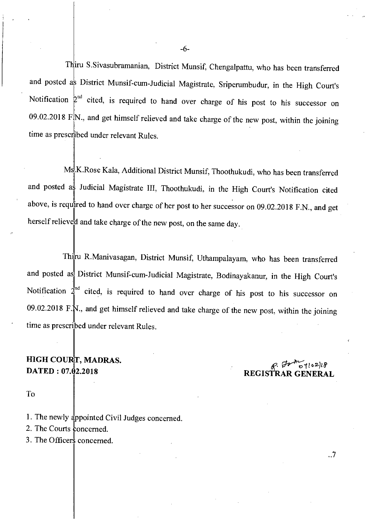Thiru S.Sivasubramanian, District Munsif, Chengalpattu, who has been transferred and posted as District Munsif-cum-Judicial Magistrate, Sriperumbudur, in the High Court's Notification  $2<sup>nd</sup>$  cited, is required to hand over charge of his post to his successor on 09.02.2018 F.N., and get himself relieved and take charge of the new post, within the joining time as prescribed under relevant Rules.

and posted as Judicial Magistrate III, Thoothukudi, in the High Court's Notification cited Ms<sup>I</sup>K.Rose Kala, Additional District Munsif, Thoothukudi, who has been transferred above, is required to hand over charge of her post to her successor on 09.02.2018 F.N., and get herself relieved and take charge of the new post, on the same day.

Thiru R.Manivasagan, District Munsif, Uthampalayam, who has been transferred and posted as District Munsif-cum-Judicial Magistrate, Bodinayakanur, in the High Court's Notification  $2^{ind}$  cited, is required to hand over charge of his post to his successor on 09.02.2018 F.N., and get himself relieved and take charge of the new post, within the joining time as prescribed under relevant Rules.

# HIGH COURT, MADRAS.<br>DATED : 07.02.2018 *DATED* : 07.02.2018

REGISTRAR GENERAL

..7

To

- 1. The newly appointed Civil Judges concerned.
- 2. The Courts concerned.
- 3. The Officers concerned.

-6-